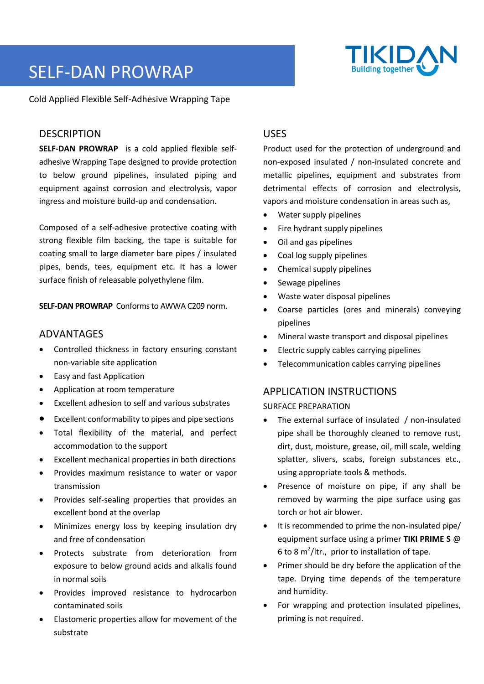

# SELF-DAN PROWRAP

Cold Applied Flexible Self-Adhesive Wrapping Tape

## **DESCRIPTION**

**SELF-DAN PROWRAP** is a cold applied flexible selfadhesive Wrapping Tape designed to provide protection to below ground pipelines, insulated piping and equipment against corrosion and electrolysis, vapor ingress and moisture build-up and condensation.

Composed of a self-adhesive protective coating with strong flexible film backing, the tape is suitable for coating small to large diameter bare pipes / insulated pipes, bends, tees, equipment etc. It has a lower surface finish of releasable polyethylene film.

**SELF-DAN PROWRAP** Conforms to AWWA C209 norm.

## ADVANTAGES

- Controlled thickness in factory ensuring constant non-variable site application
- Easy and fast Application
- Application at room temperature
- Excellent adhesion to self and various substrates
- Excellent conformability to pipes and pipe sections
- Total flexibility of the material, and perfect accommodation to the support
- Excellent mechanical properties in both directions
- Provides maximum resistance to water or vapor transmission
- Provides self-sealing properties that provides an excellent bond at the overlap
- Minimizes energy loss by keeping insulation dry and free of condensation
- Protects substrate from deterioration from exposure to below ground acids and alkalis found in normal soils
- Provides improved resistance to hydrocarbon contaminated soils
- Elastomeric properties allow for movement of the substrate

## USES

Product used for the protection of underground and non-exposed insulated / non-insulated concrete and metallic pipelines, equipment and substrates from detrimental effects of corrosion and electrolysis, vapors and moisture condensation in areas such as,

- Water supply pipelines
- Fire hydrant supply pipelines
- Oil and gas pipelines
- Coal log supply pipelines
- Chemical supply pipelines
- Sewage pipelines
- Waste water disposal pipelines
- Coarse particles (ores and minerals) conveying pipelines
- Mineral waste transport and disposal pipelines
- Electric supply cables carrying pipelines
- Telecommunication cables carrying pipelines

## APPLICATION INSTRUCTIONS

#### SURFACE PREPARATION

- The external surface of insulated / non-insulated pipe shall be thoroughly cleaned to remove rust, dirt, dust, moisture, grease, oil, mill scale, welding splatter, slivers, scabs, foreign substances etc., using appropriate tools & methods.
- Presence of moisture on pipe, if any shall be removed by warming the pipe surface using gas torch or hot air blower.
- It is recommended to prime the non-insulated pipe/ equipment surface using a primer **TIKI PRIME S** @ 6 to 8 m 2 /ltr., prior to installation of tape.
- Primer should be dry before the application of the tape. Drying time depends of the temperature and humidity.
- For wrapping and protection insulated pipelines, priming is not required.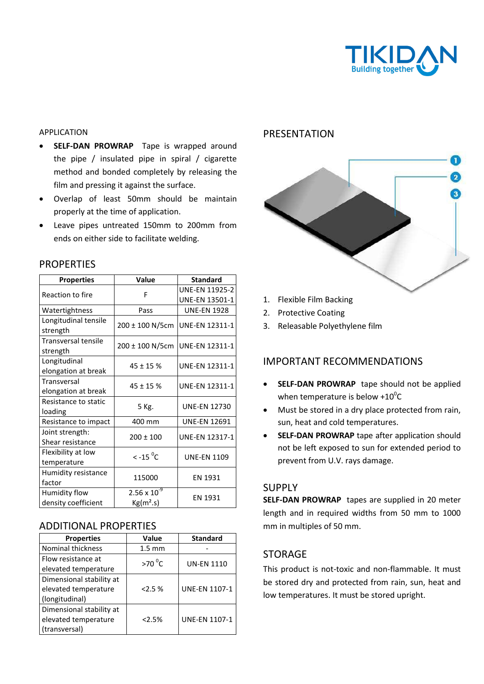

#### APPLICATION

- **SELF-DAN PROWRAP** Tape is wrapped around the pipe / insulated pipe in spiral / cigarette method and bonded completely by releasing the film and pressing it against the surface.
- Overlap of least 50mm should be maintain properly at the time of application.
- Leave pipes untreated 150mm to 200mm from ends on either side to facilitate welding.

| <b>Properties</b>          | Value                                          | <b>Standard</b>       |
|----------------------------|------------------------------------------------|-----------------------|
| Reaction to fire           | F                                              | <b>UNE-EN 11925-2</b> |
|                            |                                                | <b>UNE-EN 13501-1</b> |
| Watertightness             | Pass                                           | <b>UNE-EN 1928</b>    |
| Longitudinal tensile       | 200 ± 100 N/5cm                                | <b>UNE-EN 12311-1</b> |
| strength                   |                                                |                       |
| <b>Transversal tensile</b> | $200 \pm 100$ N/5cm                            | <b>UNE-EN 12311-1</b> |
| strength                   |                                                |                       |
| Longitudinal               | $45 \pm 15$ %                                  | <b>UNE-EN 12311-1</b> |
| elongation at break        |                                                |                       |
| Transversal                | $45 \pm 15$ %                                  | <b>UNE-EN 12311-1</b> |
| elongation at break        |                                                |                       |
| Resistance to static       | 5 Kg.                                          | <b>UNE-EN 12730</b>   |
| loading                    |                                                |                       |
| Resistance to impact       | 400 mm                                         | <b>UNE-EN 12691</b>   |
| Joint strength:            | $200 \pm 100$                                  | <b>UNE-EN 12317-1</b> |
| Shear resistance           |                                                |                       |
| Flexibility at low         | $\leq$ -15 $\mathrm{^0C}$                      | <b>UNE-EN 1109</b>    |
| temperature                |                                                |                       |
| Humidity resistance        | 115000                                         | EN 1931               |
| factor                     |                                                |                       |
| Humidity flow              | $2.56 \times 10^{-9}$<br>Kg(m <sup>2</sup> .s) | EN 1931               |
| density coefficient        |                                                |                       |

### **PROPERTIES**

#### ADDITIONAL PROPERTIES

| <b>Properties</b>        | Value            | <b>Standard</b>   |
|--------------------------|------------------|-------------------|
| <b>Nominal thickness</b> | $1.5 \text{ mm}$ |                   |
| Flow resistance at       | $>70^{\circ}$ C  | <b>UN-EN 1110</b> |
| elevated temperature     |                  |                   |
| Dimensional stability at |                  |                   |
| elevated temperature     | 2.5%             | UNE-EN 1107-1     |
| (longitudinal)           |                  |                   |
| Dimensional stability at |                  |                   |
| elevated temperature     | 2.5%             | UNE-EN 1107-1     |
| (transversal)            |                  |                   |

### PRESENTATION



- 1. Flexible Film Backing
- 2. Protective Coating
- 3. Releasable Polyethylene film

## IMPORTANT RECOMMENDATIONS

- **SELF-DAN PROWRAP** tape should not be applied when temperature is below  $+10^{\circ}$ C
- Must be stored in a dry place protected from rain, sun, heat and cold temperatures.
- **SELF-DAN PROWRAP** tape after application should not be left exposed to sun for extended period to prevent from U.V. rays damage.

## SUPPLY

**SELF-DAN PROWRAP** tapes are supplied in 20 meter length and in required widths from 50 mm to 1000 mm in multiples of 50 mm.

#### STORAGE

This product is not-toxic and non-flammable. It must be stored dry and protected from rain, sun, heat and low temperatures. It must be stored upright.